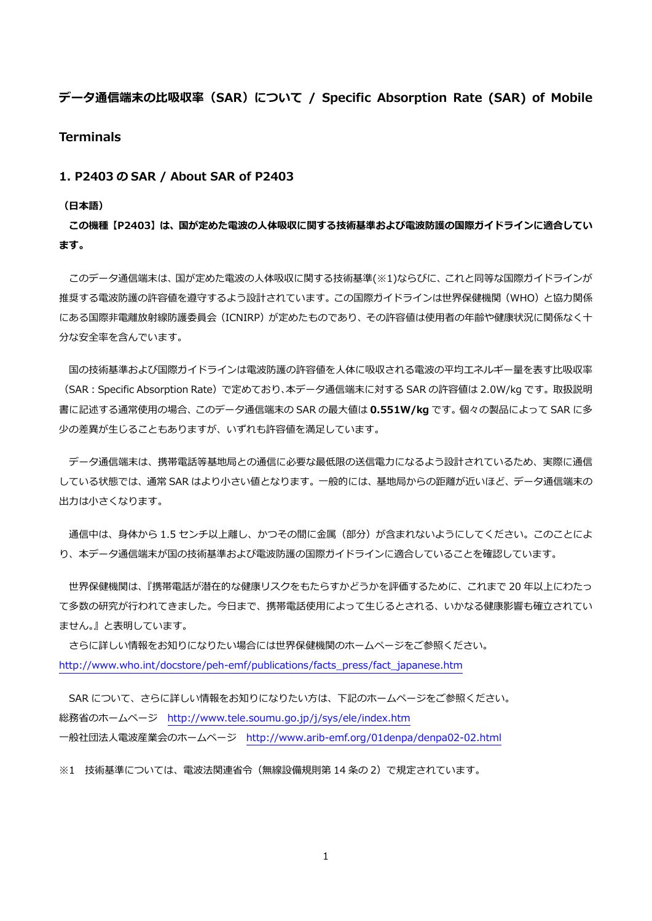# **データ通信端末の比吸収率 (SAR) について / Specific Absorption Rate (SAR) of Mobile Terminals**

### **1. P2403 の SAR / About SAR of P2403**

#### **(⽇本語)**

**この機種【P2403】は、国が定めた電波の⼈体吸収に関する技術基準および電波防護の国際ガイドラインに適合してい ます。** 

このデータ通信端末は、国が定めた電波の人体吸収に関する技術基準(※1)ならびに、これと同等な国際ガイドラインが 推奨する電波防護の許容値を遵守するよう設計されています。この国際ガイドラインは世界保健機関(WHO)と協力関係 にある国際非電離放射線防護委員会(ICNIRP)が定めたものであり、その許容値は使用者の年齢や健康状況に関係なく十 分な安全率を含んでいます。

国の技術基準および国際ガイドラインは電波防護の許容値を人体に吸収される電波の平均エネルギー量を表す比吸収率 (SAR:Specific Absorption Rate)で定めており、本データ通信端末に対する SAR の許容値は 2.0W/kg です。取扱説明 書に記述する通常使⽤の場合、このデータ通信端末の SAR の最⼤値は **0.551W/kg** です。個々の製品によって SAR に多 少の差異が⽣じることもありますが、いずれも許容値を満⾜しています。

 データ通信端末は、携帯電話等基地局との通信に必要な最低限の送信電⼒になるよう設計されているため、実際に通信 している状態では、通常 SAR はより⼩さい値となります。⼀般的には、基地局からの距離が近いほど、データ通信端末の 出力は小さくなります。

通信中は、身体から 1.5 センチ以上離し、かつその間に金属 (部分) が含まれないようにしてください。このことによ り、本データ通信端末が国の技術基準および電波防護の国際ガイドラインに適合していることを確認しています。

 世界保健機関は、『携帯電話が潜在的な健康リスクをもたらすかどうかを評価するために、これまで 20 年以上にわたっ て多数の研究が行われてきました。今日まで、携帯電話使用によって生じるとされる、いかなる健康影響も確立されてい ません。』と表明しています。

 さらに詳しい情報をお知りになりたい場合には世界保健機関のホームページをご参照ください。 http://www.who.int/docstore/peh-emf/publications/facts\_press/fact\_japanese.htm

SAR について、さらに詳しい情報をお知りになりたい方は、下記のホームページをご参照ください。 総務省のホームページ http://www.tele.soumu.go.jp/j/sys/ele/index.htm ⼀般社団法⼈電波産業会のホームページ http://www.arib-emf.org/01denpa/denpa02-02.html

※1 技術基準については、電波法関連省令(無線設備規則第 14 条の 2)で規定されています。